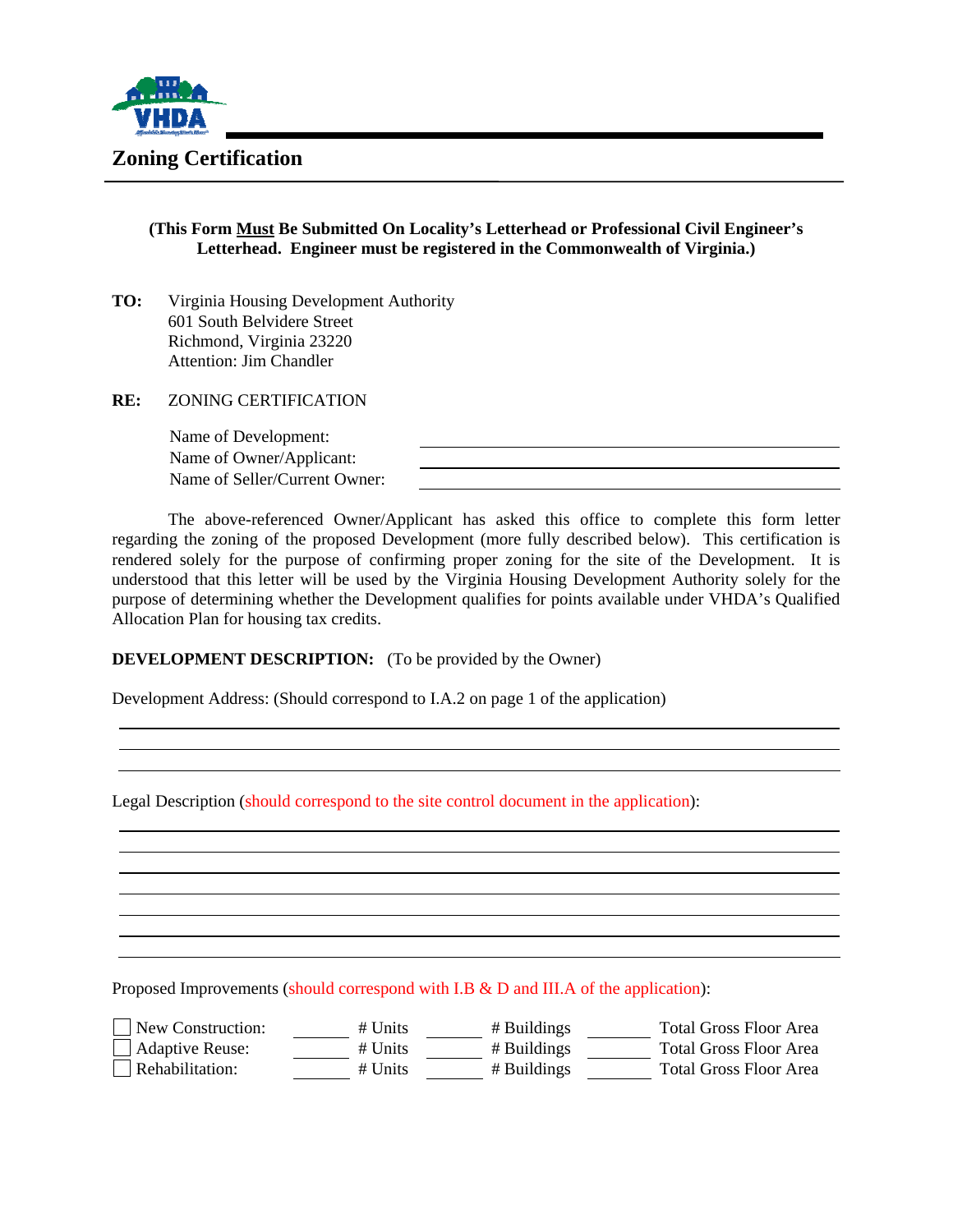

# **Zoning Certification**

## **(This Form Must Be Submitted On Locality's Letterhead or Professional Civil Engineer's Letterhead. Engineer must be registered in the Commonwealth of Virginia.)**

**TO:** Virginia Housing Development Authority 601 South Belvidere Street Richmond, Virginia 23220 Attention: Jim Chandler

**RE:** ZONING CERTIFICATION

Name of Development: Name of Owner/Applicant: Name of Seller/Current Owner:

The above-referenced Owner/Applicant has asked this office to complete this form letter regarding the zoning of the proposed Development (more fully described below). This certification is rendered solely for the purpose of confirming proper zoning for the site of the Development. It is understood that this letter will be used by the Virginia Housing Development Authority solely for the purpose of determining whether the Development qualifies for points available under VHDA's Qualified Allocation Plan for housing tax credits.

## **DEVELOPMENT DESCRIPTION:** (To be provided by the Owner)

Development Address: (Should correspond to I.A.2 on page 1 of the application)

Legal Description (should correspond to the site control document in the application):

Proposed Improvements (should correspond with I.B & D and III.A of the application):

| New Construction:      | $#$ Units | # Buildings | <b>Total Gross Floor Area</b> |
|------------------------|-----------|-------------|-------------------------------|
| $\Box$ Adaptive Reuse: | $#$ Units | # Buildings | <b>Total Gross Floor Area</b> |
| $\Box$ Rehabilitation: | $#$ Units | # Buildings | <b>Total Gross Floor Area</b> |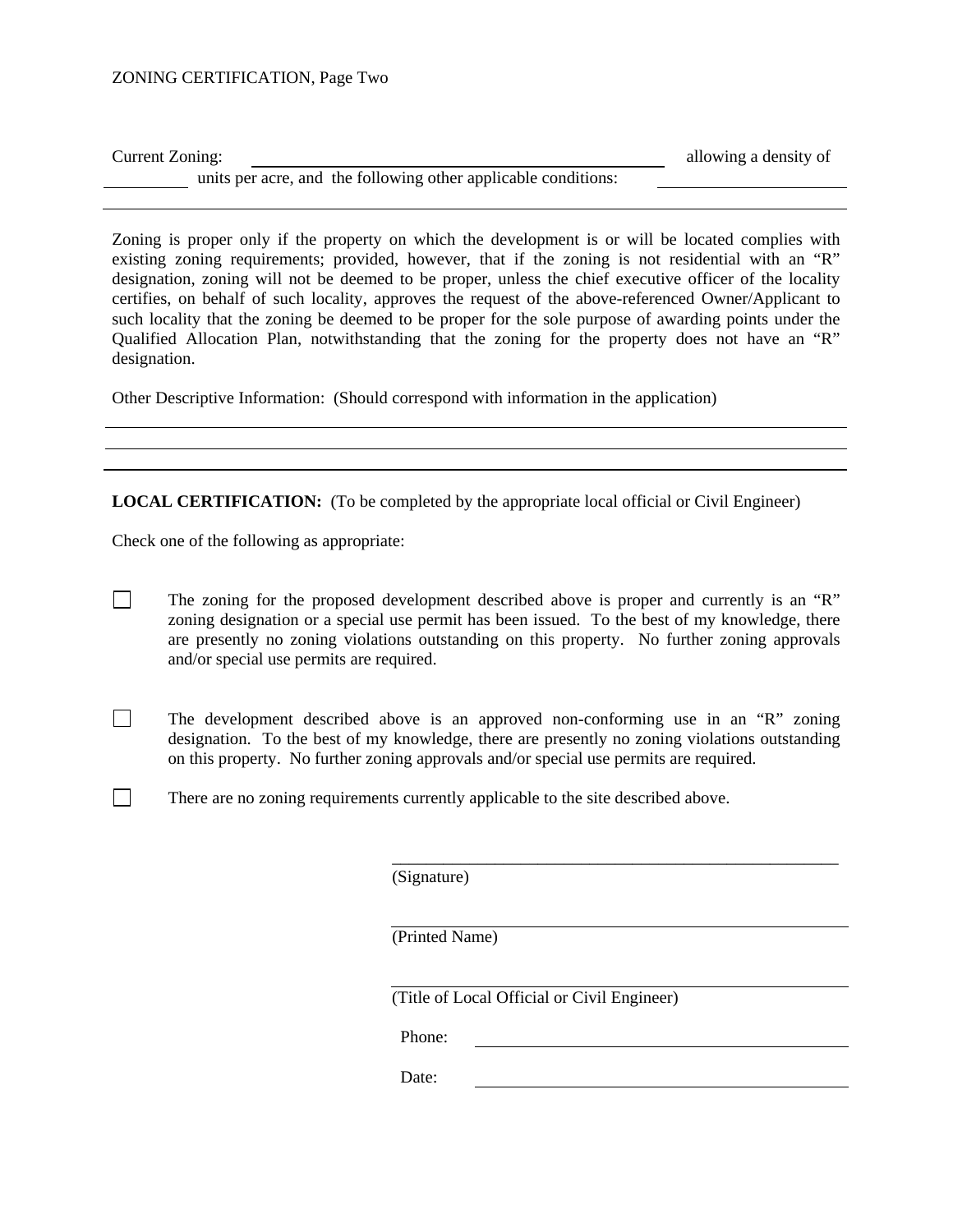### ZONING CERTIFICATION, Page Two

| Current Zoning:                                                | allowing a density of |
|----------------------------------------------------------------|-----------------------|
| units per acre, and the following other applicable conditions: |                       |

Zoning is proper only if the property on which the development is or will be located complies with existing zoning requirements; provided, however, that if the zoning is not residential with an "R" designation, zoning will not be deemed to be proper, unless the chief executive officer of the locality certifies, on behalf of such locality, approves the request of the above-referenced Owner/Applicant to such locality that the zoning be deemed to be proper for the sole purpose of awarding points under the Qualified Allocation Plan, notwithstanding that the zoning for the property does not have an "R" designation.

Other Descriptive Information: (Should correspond with information in the application)

**LOCAL CERTIFICATION:** (To be completed by the appropriate local official or Civil Engineer)

Check one of the following as appropriate:

- The zoning for the proposed development described above is proper and currently is an "R" zoning designation or a special use permit has been issued. To the best of my knowledge, there are presently no zoning violations outstanding on this property. No further zoning approvals and/or special use permits are required.
- The development described above is an approved non-conforming use in an "R" zoning designation. To the best of my knowledge, there are presently no zoning violations outstanding on this property. No further zoning approvals and/or special use permits are required.

 $\overline{\phantom{a}}$  ,  $\overline{\phantom{a}}$  ,  $\overline{\phantom{a}}$  ,  $\overline{\phantom{a}}$  ,  $\overline{\phantom{a}}$  ,  $\overline{\phantom{a}}$  ,  $\overline{\phantom{a}}$  ,  $\overline{\phantom{a}}$  ,  $\overline{\phantom{a}}$  ,  $\overline{\phantom{a}}$  ,  $\overline{\phantom{a}}$  ,  $\overline{\phantom{a}}$  ,  $\overline{\phantom{a}}$  ,  $\overline{\phantom{a}}$  ,  $\overline{\phantom{a}}$  ,  $\overline{\phantom{a}}$ 

 $\Box$  There are no zoning requirements currently applicable to the site described above.

(Signature)

(Printed Name)

(Title of Local Official or Civil Engineer)

Phone:

Date: